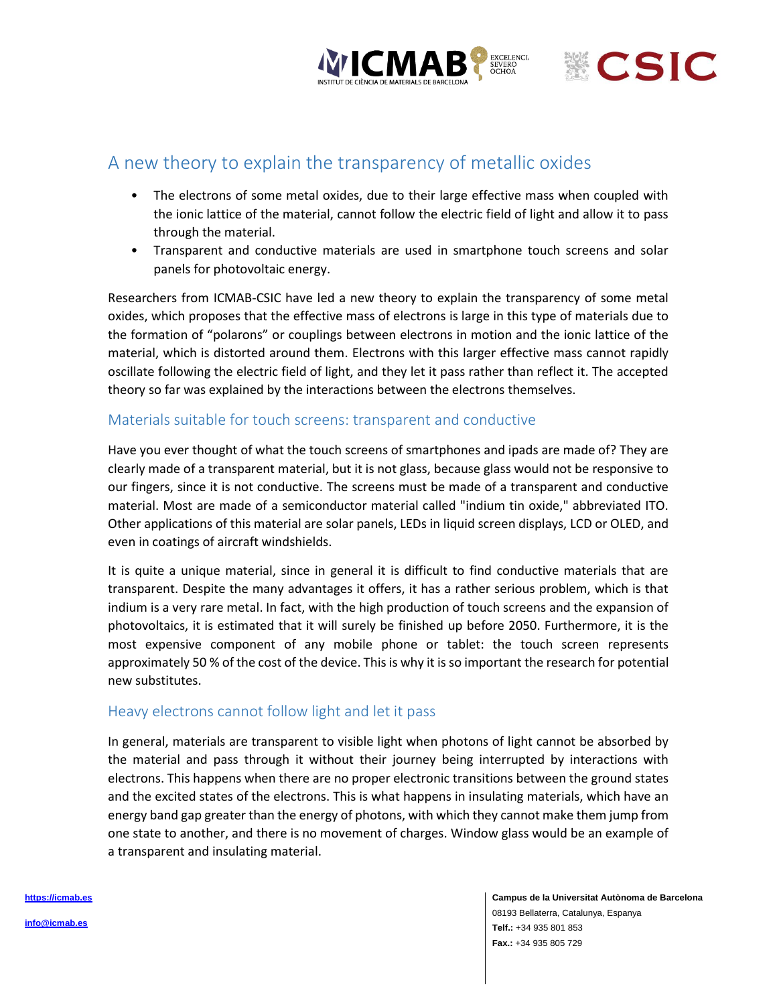



# A new theory to explain the transparency of metallic oxides

- The electrons of some metal oxides, due to their large effective mass when coupled with the ionic lattice of the material, cannot follow the electric field of light and allow it to pass through the material.
- Transparent and conductive materials are used in smartphone touch screens and solar panels for photovoltaic energy.

Researchers from ICMAB-CSIC have led a new theory to explain the transparency of some metal oxides, which proposes that the effective mass of electrons is large in this type of materials due to the formation of "polarons" or couplings between electrons in motion and the ionic lattice of the material, which is distorted around them. Electrons with this larger effective mass cannot rapidly oscillate following the electric field of light, and they let it pass rather than reflect it. The accepted theory so far was explained by the interactions between the electrons themselves.

#### Materials suitable for touch screens: transparent and conductive

Have you ever thought of what the touch screens of smartphones and ipads are made of? They are clearly made of a transparent material, but it is not glass, because glass would not be responsive to our fingers, since it is not conductive. The screens must be made of a transparent and conductive material. Most are made of a semiconductor material called "indium tin oxide," abbreviated ITO. Other applications of this material are solar panels, LEDs in liquid screen displays, LCD or OLED, and even in coatings of aircraft windshields.

It is quite a unique material, since in general it is difficult to find conductive materials that are transparent. Despite the many advantages it offers, it has a rather serious problem, which is that indium is a very rare metal. In fact, with the high production of touch screens and the expansion of photovoltaics, it is estimated that it will surely be finished up before 2050. Furthermore, it is the most expensive component of any mobile phone or tablet: the touch screen represents approximately 50 % of the cost of the device. This is why it is so important the research for potential new substitutes.

#### Heavy electrons cannot follow light and let it pass

In general, materials are transparent to visible light when photons of light cannot be absorbed by the material and pass through it without their journey being interrupted by interactions with electrons. This happens when there are no proper electronic transitions between the ground states and the excited states of the electrons. This is what happens in insulating materials, which have an energy band gap greater than the energy of photons, with which they cannot make them jump from one state to another, and there is no movement of charges. Window glass would be an example of a transparent and insulating material.

> **Campus de la Universitat Autònoma de Barcelona** 08193 Bellaterra, Catalunya, Espanya **Telf.:** +34 935 801 853 **Fax.:** +34 935 805 729

**[https://icmab.es](https://icmab.es/)**

**[info@icmab.es](https://icmab.es/)**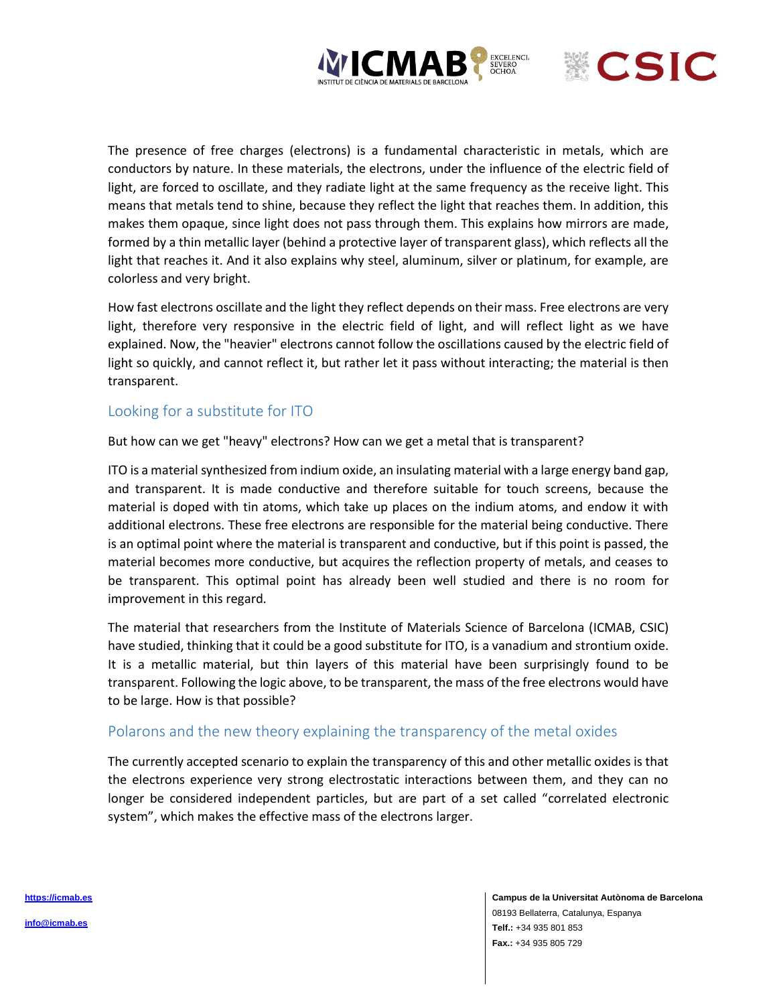



The presence of free charges (electrons) is a fundamental characteristic in metals, which are conductors by nature. In these materials, the electrons, under the influence of the electric field of light, are forced to oscillate, and they radiate light at the same frequency as the receive light. This means that metals tend to shine, because they reflect the light that reaches them. In addition, this makes them opaque, since light does not pass through them. This explains how mirrors are made, formed by a thin metallic layer (behind a protective layer of transparent glass), which reflects all the light that reaches it. And it also explains why steel, aluminum, silver or platinum, for example, are colorless and very bright.

How fast electrons oscillate and the light they reflect depends on their mass. Free electrons are very light, therefore very responsive in the electric field of light, and will reflect light as we have explained. Now, the "heavier" electrons cannot follow the oscillations caused by the electric field of light so quickly, and cannot reflect it, but rather let it pass without interacting; the material is then transparent.

## Looking for a substitute for ITO

But how can we get "heavy" electrons? How can we get a metal that is transparent?

ITO is a material synthesized from indium oxide, an insulating material with a large energy band gap, and transparent. It is made conductive and therefore suitable for touch screens, because the material is doped with tin atoms, which take up places on the indium atoms, and endow it with additional electrons. These free electrons are responsible for the material being conductive. There is an optimal point where the material is transparent and conductive, but if this point is passed, the material becomes more conductive, but acquires the reflection property of metals, and ceases to be transparent. This optimal point has already been well studied and there is no room for improvement in this regard.

The material that researchers from the Institute of Materials Science of Barcelona (ICMAB, CSIC) have studied, thinking that it could be a good substitute for ITO, is a vanadium and strontium oxide. It is a metallic material, but thin layers of this material have been surprisingly found to be transparent. Following the logic above, to be transparent, the mass of the free electrons would have to be large. How is that possible?

#### Polarons and the new theory explaining the transparency of the metal oxides

The currently accepted scenario to explain the transparency of this and other metallic oxides is that the electrons experience very strong electrostatic interactions between them, and they can no longer be considered independent particles, but are part of a set called "correlated electronic system", which makes the effective mass of the electrons larger.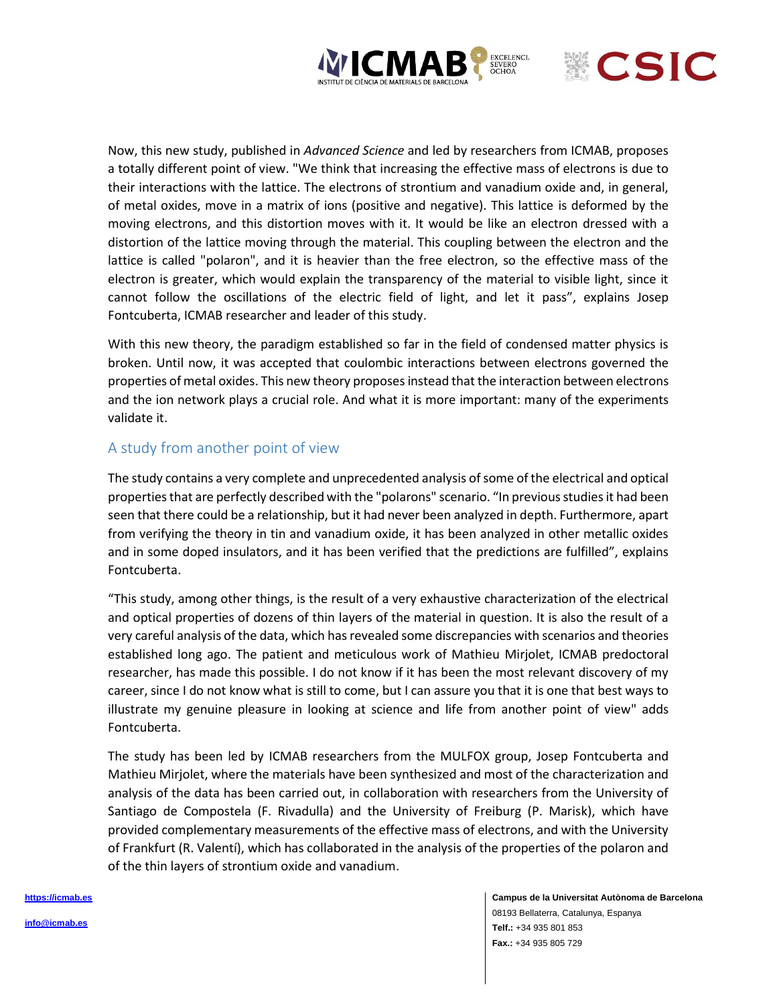



Now, this new study, published in *Advanced Science* and led by researchers from ICMAB, proposes a totally different point of view. "We think that increasing the effective mass of electrons is due to their interactions with the lattice. The electrons of strontium and vanadium oxide and, in general, of metal oxides, move in a matrix of ions (positive and negative). This lattice is deformed by the moving electrons, and this distortion moves with it. It would be like an electron dressed with a distortion of the lattice moving through the material. This coupling between the electron and the lattice is called "polaron", and it is heavier than the free electron, so the effective mass of the electron is greater, which would explain the transparency of the material to visible light, since it cannot follow the oscillations of the electric field of light, and let it pass", explains Josep Fontcuberta, ICMAB researcher and leader of this study.

With this new theory, the paradigm established so far in the field of condensed matter physics is broken. Until now, it was accepted that coulombic interactions between electrons governed the properties of metal oxides. This new theory proposes instead that the interaction between electrons and the ion network plays a crucial role. And what it is more important: many of the experiments validate it.

#### A study from another point of view

The study contains a very complete and unprecedented analysis of some of the electrical and optical properties that are perfectly described with the "polarons" scenario. "In previous studies it had been seen that there could be a relationship, but it had never been analyzed in depth. Furthermore, apart from verifying the theory in tin and vanadium oxide, it has been analyzed in other metallic oxides and in some doped insulators, and it has been verified that the predictions are fulfilled", explains Fontcuberta.

"This study, among other things, is the result of a very exhaustive characterization of the electrical and optical properties of dozens of thin layers of the material in question. It is also the result of a very careful analysis of the data, which has revealed some discrepancies with scenarios and theories established long ago. The patient and meticulous work of Mathieu Mirjolet, ICMAB predoctoral researcher, has made this possible. I do not know if it has been the most relevant discovery of my career, since I do not know what is still to come, but I can assure you that it is one that best ways to illustrate my genuine pleasure in looking at science and life from another point of view" adds Fontcuberta.

The study has been led by ICMAB researchers from the MULFOX group, Josep Fontcuberta and Mathieu Mirjolet, where the materials have been synthesized and most of the characterization and analysis of the data has been carried out, in collaboration with researchers from the University of Santiago de Compostela (F. Rivadulla) and the University of Freiburg (P. Marisk), which have provided complementary measurements of the effective mass of electrons, and with the University of Frankfurt (R. Valentí), which has collaborated in the analysis of the properties of the polaron and of the thin layers of strontium oxide and vanadium.

> **Campus de la Universitat Autònoma de Barcelona** 08193 Bellaterra, Catalunya, Espanya **Telf.:** +34 935 801 853 **Fax.:** +34 935 805 729

**[https://icmab.es](https://icmab.es/)**

**[info@icmab.es](https://icmab.es/)**